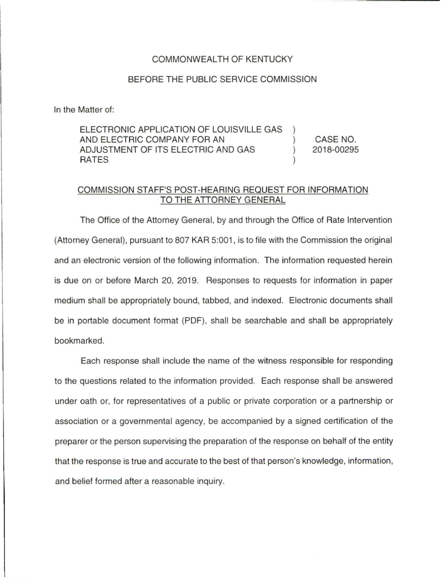## COMMONWEAL TH OF KENTUCKY

## BEFORE THE PUBLIC SERVICE COMMISSION

In the Matter of:

ELECTRONIC APPLICATION OF LOUISVILLE GAS AND ELECTRIC COMPANY FOR AN ADJUSTMENT OF ITS ELECTRIC AND GAS RATES (and a set of  $\sim$  ) and  $\sim$  ) CASE NO. 2018-00295

## COMMISSION STAFF'S POST-HEARING REQUEST FOR INFORMATION TO THE ATTORNEY GENERAL

The Office of the Attorney General, by and through the Office of Rate Intervention (Attorney General), pursuant to 807 KAR 5:001 , is to file with the Commission the original and an electronic version of the following information. The information requested herein is due on or before March 20, 2019. Responses to requests for information in paper medium shall be appropriately bound, tabbed, and indexed. Electronic documents shall be in portable document format (PDF), shall be searchable and shall be appropriately bookmarked.

Each response shall include the name of the witness responsible for responding to the questions related to the information provided. Each response shall be answered under oath or, for representatives of a public or private corporation or a partnership or association or a governmental agency, be accompanied by a signed certification of the preparer or the person supervising the preparation of the response on behalf of the entity that the response is true and accurate to the best of that person's knowledge, information, and belief formed after a reasonable inquiry.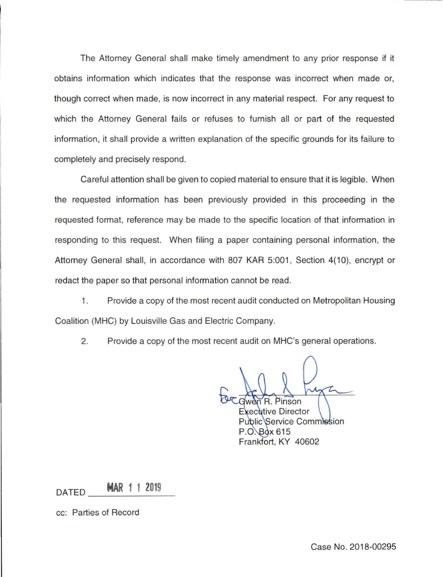The Attorney General shall make timely amendment to any prior response if it obtains information which indicates that the response was incorrect when made or, though correct when made, is now incorrect in any material respect. For any request to which the Attorney General fails or refuses to furnish all or part of the requested information, it shall provide a written explanation of the specific grounds for its failure to completely and precisely respond.

Careful attention shall be given to copied material to ensure that it is legible. When the requested information has been previously provided in this proceeding in the requested format, reference may be made to the specific location of that information in responding to this request. When filing a paper containing personal information, the Attorney General shall, in accordance with 807 KAR 5:001, Section 4(10), encrypt or redact the paper so that personal information cannot be read.

1 . Provide a copy of the most recent audit conducted on Metropolitan Housing Coalition (MHC) by Louisville Gas and Electric Company.

2. Provide a copy of the most recent audit on MHC's general operations.

Pinson

**xecutive Director Public Service Commission** P.O. Box 615 Frankfort, KY 40602

 $\overline{M}$  DATED **MAR 1 1 2019** 

cc: Parties of Record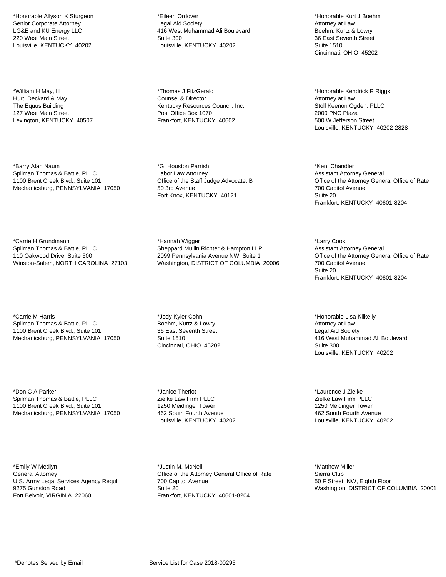\*Honorable Allyson K Sturgeon Senior Corporate Attorney LG&E and KU Energy LLC 220 West Main Street Louisville, KENTUCKY 40202

\*William H May, III Hurt, Deckard & May The Equus Building 127 West Main Street Lexington, KENTUCKY 40507

\*Barry Alan Naum Spilman Thomas & Battle, PLLC 1100 Brent Creek Blvd., Suite 101 Mechanicsburg, PENNSYLVANIA 17050

\*Carrie H Grundmann Spilman Thomas & Battle, PLLC 110 Oakwood Drive, Suite 500 Winston-Salem, NORTH CAROLINA 27103

\*Carrie M Harris Spilman Thomas & Battle, PLLC 1100 Brent Creek Blvd., Suite 101 Mechanicsburg, PENNSYLVANIA 17050

\*Don C A Parker Spilman Thomas & Battle, PLLC 1100 Brent Creek Blvd., Suite 101 Mechanicsburg, PENNSYLVANIA 17050

\*Emily W Medlyn General Attorney U.S. Army Legal Services Agency Regul 9275 Gunston Road Fort Belvoir, VIRGINIA 22060

\*Eileen Ordover Legal Aid Society 416 West Muhammad Ali Boulevard Suite 300 Louisville, KENTUCKY 40202

\*Thomas J FitzGerald Counsel & Director Kentucky Resources Council, Inc. Post Office Box 1070 Frankfort, KENTUCKY 40602

\*G. Houston Parrish Labor Law Attorney Office of the Staff Judge Advocate, B 50 3rd Avenue Fort Knox, KENTUCKY 40121

\*Hannah Wigger Sheppard Mullin Richter & Hampton LLP 2099 Pennsylvania Avenue NW, Suite 1 Washington, DISTRICT OF COLUMBIA 20006

\*Jody Kyler Cohn Boehm, Kurtz & Lowry 36 East Seventh Street Suite 1510 Cincinnati, OHIO 45202

\*Janice Theriot Zielke Law Firm PLLC 1250 Meidinger Tower 462 South Fourth Avenue Louisville, KENTUCKY 40202

\*Justin M. McNeil Office of the Attorney General Office of Rate 700 Capitol Avenue Suite 20 Frankfort, KENTUCKY 40601-8204

\*Honorable Kurt J Boehm Attorney at Law Boehm, Kurtz & Lowry 36 East Seventh Street Suite 1510 Cincinnati, OHIO 45202

\*Honorable Kendrick R Riggs Attorney at Law Stoll Keenon Ogden, PLLC 2000 PNC Plaza 500 W Jefferson Street Louisville, KENTUCKY 40202-2828

\*Kent Chandler Assistant Attorney General Office of the Attorney General Office of Rate 700 Capitol Avenue Suite 20 Frankfort, KENTUCKY 40601-8204

\*Larry Cook Assistant Attorney General Office of the Attorney General Office of Rate 700 Capitol Avenue Suite 20 Frankfort, KENTUCKY 40601-8204

\*Honorable Lisa Kilkelly Attorney at Law Legal Aid Society 416 West Muhammad Ali Boulevard Suite 300 Louisville, KENTUCKY 40202

\*Laurence J Zielke Zielke Law Firm PLLC 1250 Meidinger Tower 462 South Fourth Avenue Louisville, KENTUCKY 40202

\*Matthew Miller Sierra Club 50 F Street, NW, Eighth Floor Washington, DISTRICT OF COLUMBIA 20001